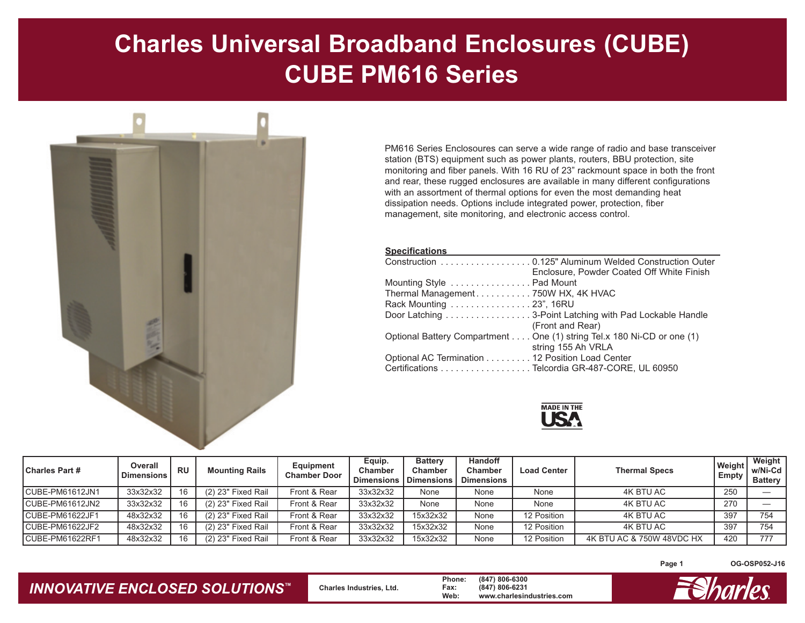## **Charles Universal Broadband Enclosures (CUBE) CUBE PM616 Series**



PM616 Series Enclosoures can serve a wide range of radio and base transceiver station (BTS) equipment such as power plants, routers, BBU protection, site monitoring and fiber panels. With 16 RU of 23" rackmount space in both the front and rear, these rugged enclosures are available in many different configurations with an assortment of thermal options for even the most demanding heat dissipation needs. Options include integrated power, protection, fiber management, site monitoring, and electronic access control.

| <b>Specifications</b>                                                  |
|------------------------------------------------------------------------|
| Construction 0.125" Aluminum Welded Construction Outer                 |
| Enclosure, Powder Coated Off White Finish                              |
| Mounting Style  Pad Mount                                              |
| Thermal Management750W HX, 4K HVAC                                     |
| Rack Mounting 23", 16RU                                                |
| Door Latching 3-Point Latching with Pad Lockable Handle                |
| (Front and Rear)                                                       |
| Optional Battery Compartment One (1) string Tel.x 180 Ni-CD or one (1) |
| string 155 Ah VRLA                                                     |
| Optional AC Termination 12 Position Load Center                        |
| Certifications Telcordia GR-487-CORE, UL 60950                         |



| <b>Charles Part #</b> | Overall<br><b>Dimensions</b> | <b>RU</b> | <b>Mounting Rails</b> | Equipment<br><b>Chamber Door</b> | Equip.<br>Chamber<br><b>Dimensions</b> | <b>Battery</b><br>Chamber<br><b>Dimensions</b> | <b>Handoff</b><br><b>Chamber</b><br><b>Dimensions</b> | <b>Load Center</b> | <b>Thermal Specs</b>      | Weight<br>Empty | Weight<br>w/Ni-Cd<br><b>Battery</b> |
|-----------------------|------------------------------|-----------|-----------------------|----------------------------------|----------------------------------------|------------------------------------------------|-------------------------------------------------------|--------------------|---------------------------|-----------------|-------------------------------------|
| CUBE-PM61612JN1       | 33x32x32                     | 16        | (2) 23" Fixed Rail    | Front & Rear                     | 33x32x32                               | None                                           | None                                                  | None               | 4K BTU AC                 | 250             |                                     |
| CUBE-PM61612JN2       | 33x32x32                     | 16        | (2) 23" Fixed Rail    | Front & Rear                     | 33x32x32                               | None                                           | None                                                  | None               | 4K BTU AC                 | 270             |                                     |
| CUBE-PM61622JF1       | 48x32x32                     | 16        | (2) 23" Fixed Rail    | Front & Rear                     | 33x32x32                               | 15x32x32                                       | None                                                  | 12 Position        | 4K BTU AC                 | 397             | 754                                 |
| CUBE-PM61622JF2       | 48x32x32                     | 16        | (2) 23" Fixed Rail    | Front & Rear                     | 33x32x32                               | 15x32x32                                       | None                                                  | 12 Position        | 4K BTU AC                 | 397             | 754                                 |
| CUBE-PM61622RF1       | 48x32x32                     | 16        | (2) 23" Fixed Rail    | Front & Rear                     | 33x32x32                               | 15x32x32                                       | None                                                  | 12 Position        | 4K BTU AC & 750W 48VDC HX | 420             | 777                                 |

**Page 1**

**OG-OSP052-J16**

## *INNOVATIVE ENCLOSED SOLUTIONS ™*

 **Charles Industries, Ltd. Phone: (847) 806-6300 Fax: (847) 806-6231 Web: www.charlesindustries.com**